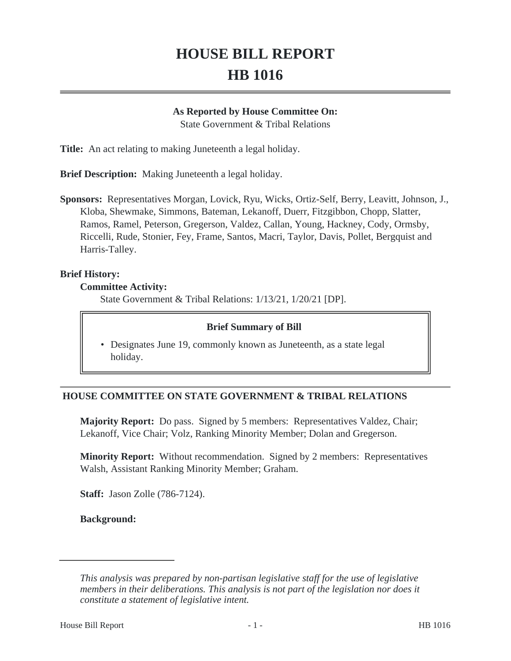# **HOUSE BILL REPORT HB 1016**

#### **As Reported by House Committee On:**

State Government & Tribal Relations

**Title:** An act relating to making Juneteenth a legal holiday.

**Brief Description:** Making Juneteenth a legal holiday.

**Sponsors:** Representatives Morgan, Lovick, Ryu, Wicks, Ortiz-Self, Berry, Leavitt, Johnson, J., Kloba, Shewmake, Simmons, Bateman, Lekanoff, Duerr, Fitzgibbon, Chopp, Slatter, Ramos, Ramel, Peterson, Gregerson, Valdez, Callan, Young, Hackney, Cody, Ormsby, Riccelli, Rude, Stonier, Fey, Frame, Santos, Macri, Taylor, Davis, Pollet, Bergquist and Harris-Talley.

### **Brief History:**

#### **Committee Activity:**

State Government & Tribal Relations: 1/13/21, 1/20/21 [DP].

#### **Brief Summary of Bill**

• Designates June 19, commonly known as Juneteenth, as a state legal holiday.

### **HOUSE COMMITTEE ON STATE GOVERNMENT & TRIBAL RELATIONS**

**Majority Report:** Do pass. Signed by 5 members: Representatives Valdez, Chair; Lekanoff, Vice Chair; Volz, Ranking Minority Member; Dolan and Gregerson.

**Minority Report:** Without recommendation. Signed by 2 members: Representatives Walsh, Assistant Ranking Minority Member; Graham.

**Staff:** Jason Zolle (786-7124).

**Background:**

*This analysis was prepared by non-partisan legislative staff for the use of legislative members in their deliberations. This analysis is not part of the legislation nor does it constitute a statement of legislative intent.*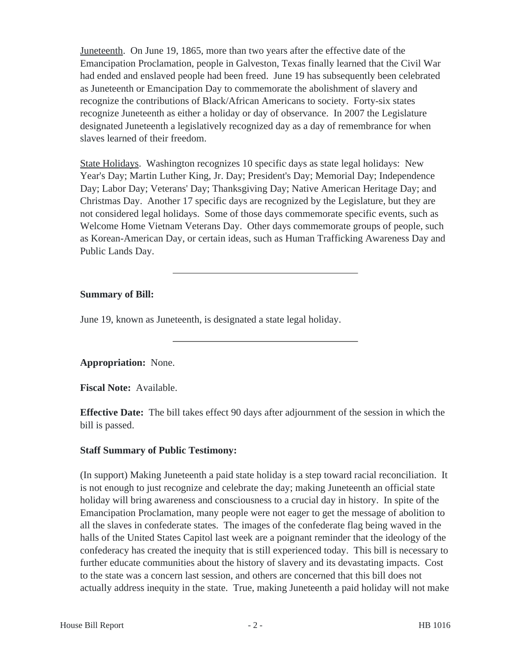Juneteenth. On June 19, 1865, more than two years after the effective date of the Emancipation Proclamation, people in Galveston, Texas finally learned that the Civil War had ended and enslaved people had been freed. June 19 has subsequently been celebrated as Juneteenth or Emancipation Day to commemorate the abolishment of slavery and recognize the contributions of Black/African Americans to society. Forty-six states recognize Juneteenth as either a holiday or day of observance. In 2007 the Legislature designated Juneteenth a legislatively recognized day as a day of remembrance for when slaves learned of their freedom.

State Holidays. Washington recognizes 10 specific days as state legal holidays: New Year's Day; Martin Luther King, Jr. Day; President's Day; Memorial Day; Independence Day; Labor Day; Veterans' Day; Thanksgiving Day; Native American Heritage Day; and Christmas Day. Another 17 specific days are recognized by the Legislature, but they are not considered legal holidays. Some of those days commemorate specific events, such as Welcome Home Vietnam Veterans Day. Other days commemorate groups of people, such as Korean-American Day, or certain ideas, such as Human Trafficking Awareness Day and Public Lands Day.

#### **Summary of Bill:**

June 19, known as Juneteenth, is designated a state legal holiday.

### **Appropriation:** None.

**Fiscal Note:** Available.

**Effective Date:** The bill takes effect 90 days after adjournment of the session in which the bill is passed.

## **Staff Summary of Public Testimony:**

(In support) Making Juneteenth a paid state holiday is a step toward racial reconciliation. It is not enough to just recognize and celebrate the day; making Juneteenth an official state holiday will bring awareness and consciousness to a crucial day in history. In spite of the Emancipation Proclamation, many people were not eager to get the message of abolition to all the slaves in confederate states. The images of the confederate flag being waved in the halls of the United States Capitol last week are a poignant reminder that the ideology of the confederacy has created the inequity that is still experienced today. This bill is necessary to further educate communities about the history of slavery and its devastating impacts. Cost to the state was a concern last session, and others are concerned that this bill does not actually address inequity in the state. True, making Juneteenth a paid holiday will not make